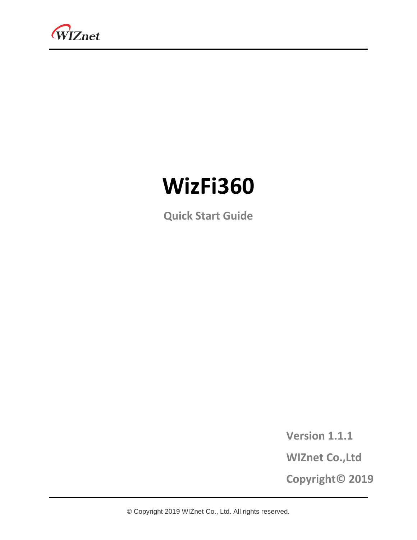

# **WizFi360**

**Quick Start Guide**

**Version 1.1.1**

**WIZnet Co.,Ltd**

**Copyright© 2019**

© Copyright 2019 WIZnet Co., Ltd. All rights reserved.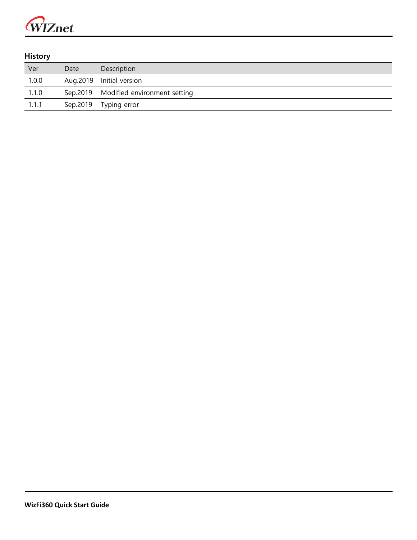

#### **History**

| Ver   | Date     | Description                           |
|-------|----------|---------------------------------------|
| 1.0.0 |          | Aug.2019 Initial version              |
| 1.1.0 |          | Sep.2019 Modified environment setting |
| 1.1.1 | Sep.2019 | Typing error                          |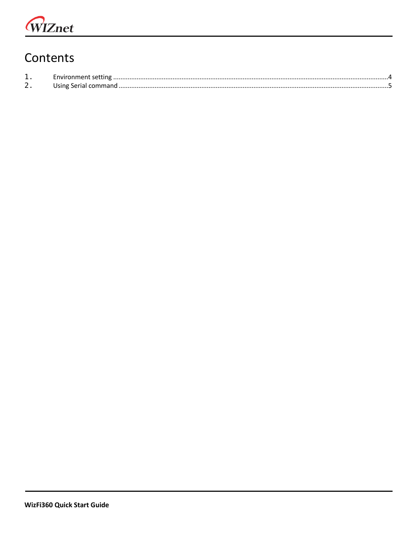# Contents

| <u>. на стр</u> |  |
|-----------------|--|
| <u>_</u>        |  |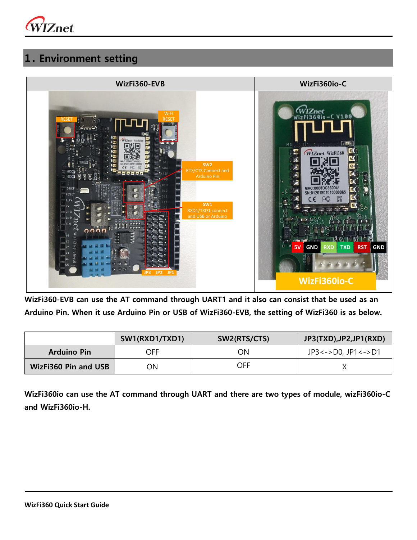

## <span id="page-3-0"></span>**1. Environment setting**



**WizFi360-EVB can use the AT command through UART1 and it also can consist that be used as an Arduino Pin. When it use Arduino Pin or USB of WizFi360-EVB, the setting of WizFi360 is as below.**

|                             | SW1(RXD1/TXD1) | SW2(RTS/CTS) | JP3(TXD), JP2, JP1(RXD)    |
|-----------------------------|----------------|--------------|----------------------------|
| <b>Arduino Pin</b>          | OFF            | ОN           | $JP3 < -> D0, JP1 < -> D1$ |
| <b>WizFi360 Pin and USB</b> | ОN             | OFF          |                            |

**WizFi360io can use the AT command through UART and there are two types of module, wizFi360io-C and WizFi360io-H.**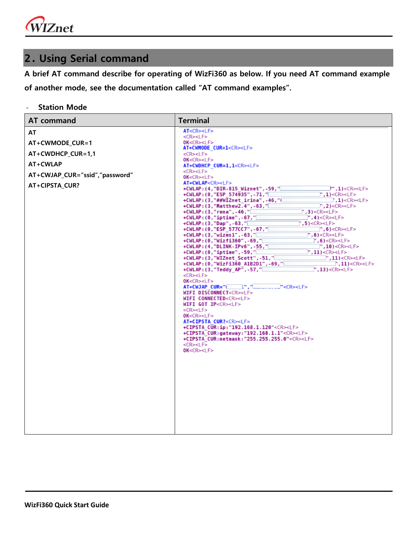WIZnet

# <span id="page-4-0"></span>**2. Using Serial command**

**A brief AT command describe for operating of WizFi360 as below. If you need AT command example of another mode, see the documentation called "AT command examples".**

- **Station Mode**

| <b>AT command</b>                                                                                          | <b>Terminal</b>                                                                                                                                                                                                                                                                                                                                                                                                                                                                                                                                                                                                                                                                                                                                                                                                                                                                                                                                                                                                                                                                                                                                                                                                                                                                                                                                                                                                                                                                                                                                                                                                                                                                                                                                                                                                                                                                                                                                                                                                                                                                                                                                                                                                                                                                                                 |
|------------------------------------------------------------------------------------------------------------|-----------------------------------------------------------------------------------------------------------------------------------------------------------------------------------------------------------------------------------------------------------------------------------------------------------------------------------------------------------------------------------------------------------------------------------------------------------------------------------------------------------------------------------------------------------------------------------------------------------------------------------------------------------------------------------------------------------------------------------------------------------------------------------------------------------------------------------------------------------------------------------------------------------------------------------------------------------------------------------------------------------------------------------------------------------------------------------------------------------------------------------------------------------------------------------------------------------------------------------------------------------------------------------------------------------------------------------------------------------------------------------------------------------------------------------------------------------------------------------------------------------------------------------------------------------------------------------------------------------------------------------------------------------------------------------------------------------------------------------------------------------------------------------------------------------------------------------------------------------------------------------------------------------------------------------------------------------------------------------------------------------------------------------------------------------------------------------------------------------------------------------------------------------------------------------------------------------------------------------------------------------------------------------------------------------------|
| AT<br>AT+CWMODE_CUR=1<br>AT+CWDHCP_CUR=1,1<br>AT+CWLAP<br>AT+CWJAP_CUR="ssid","password"<br>AT+CIPSTA_CUR? | AT <cr><lf><br/><cr><lf><br/>OK &lt; CR &gt; LF<br/>AT+CWMODE CUR=1<cr><lf><br/>⊢<cr><lf><br/>OK &lt; CR &gt; LF<br/>AT+CWDHCP CUR=1,1<cr><lf><br/>⊢<cr><lf><br/>OK<cr><lf><br/>AT+CWLAP<cr><lf><br/>+CWLAP:(4,"DIR-815 Wiznet",-59,"<br/><math>J''</math>, 1)<cr><lf><br/>+CWLAP:(0,"ESP 574935",-71,"<br/><math>\cdot</math>, 1)<cr><lf><br/>+CWLAP:(3,"##WIZnet irina",-46,"<math>\Box</math><br/><math>\Box</math>,1)<cr><lf><br/>+CWLAP:(3,"Matthew2.4",-63,"<math>\Box</math><br/><math>"</math>, 2)&lt;<math>CR</math>&gt;&lt;<math>LF</math>&gt;<br/>+CWLAP:(3,"rena",-46,"[<br/><math>\degree</math>, 3)<cr><lf><br/>+CWLAP:(0,"iptime",-67,"<br/><math>\mathbb{T}</math>, 4)<cr><lf><br/>', 5) &lt; CR &gt; LF &gt;<br/>+CWLAP:(3,"Dap",-63," <br/>+CWLAP:(0,"ESP 577CC7",-67,"[<br/><math>\Box</math>", 6)<cr><lf><br/><math>+</math>CWLAP:(3,"wizms1",-63,"<math>\Box</math><br/><math>"</math>, 6)&lt;<math>CR</math>&gt;&lt;<math>LF</math>&gt;<br/>+CWLAP:(0,"Wizfi360",-69,"[<br/><math>\mid</math>,6)<cr><lf><br/>+CWLAP:(4,"DLINK-IPv6",-55,"<br/><math>\Box</math>",10)<cr><lf><br/><math>"</math>, 11)&lt;<math>CR</math>&gt;&lt;<math>LF</math>&gt;<br/><math>+</math>CWLAP:(0,"<math>\mathbf{intime}</math>",-59,"<math>\Box</math><br/>+CWLAP:(3,"WIZnet Scott",-51,"<br/><math>"</math>, 11)&lt;<math>CR</math>&gt;&lt;<math>LF</math>&gt;<br/>+CWLAP:(0,"WizFi360 A1B2D1",-69,"[<br/><math>\cdot</math>, 11) &lt; CR &gt; &lt; LF &gt;<br/>+CWLAP:(3,"Teddy AP",-57,"<br/><math>"</math>, 13)&lt;<math>CR</math>&gt;&lt;<math>LF</math>&gt;<br/>SCR&gt;<lf><br/>OK<cr><lf><br/><math>AT+CWJAP</math> <math>CUR="</math> <math>"</math><br/>"<cr><lf><br/>WIFI DISCONNECT<cr><lf><br/><b>WIFI CONNECTED<cr><lf></lf></cr></b><br/>WIFI GOT IP<cr><lf><br/>CR&gt;<lf><br/>OK<cr><lf><br/>AT+CIPSTA CUR?<cr><lf><br/>+CIPSTA CUR:ip:"192.168.1.120"<cr><lf><br/>+CIPSTA_CUR:gateway:"192.168.1.1"<cr><lf><br/>+CIPSTA CUR:netmask:"255.255.255.0"<cr><lf><br/><math>\le</math> CR&gt;<lf><br/>0K &lt; CR &gt; LF</lf></lf></cr></lf></cr></lf></cr></lf></cr></lf></cr></lf></lf></cr></lf></cr></lf></cr></lf></cr></lf></lf></cr></lf></cr></lf></cr></lf></cr></lf></cr></lf></cr></lf></cr></lf></cr></lf></cr></lf></cr></lf></cr></lf></cr></lf></cr></lf></cr></lf></cr></lf></cr> |